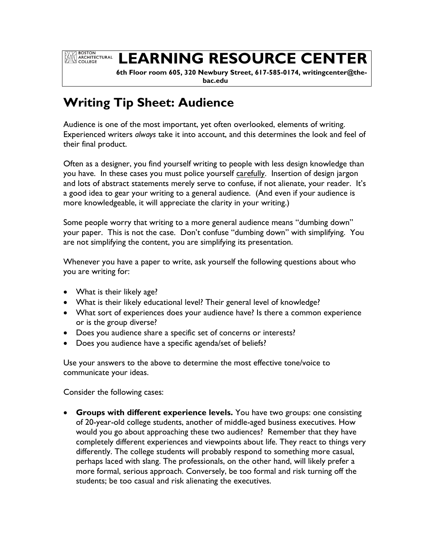**EXAMPLE BOSTON<br>ARCHITECTURAL**<br>COLLEGE

## **LEARNING RESOURCE CENTER**

 **6th Floor room 605, 320 Newbury Street, 617-585-0174, writingcenter@thebac.edu**

## **Writing Tip Sheet: Audience**

Audience is one of the most important, yet often overlooked, elements of writing. Experienced writers *always* take it into account, and this determines the look and feel of their final product.

Often as a designer, you find yourself writing to people with less design knowledge than you have. In these cases you must police yourself carefully. Insertion of design jargon and lots of abstract statements merely serve to confuse, if not alienate, your reader. It's a good idea to gear your writing to a general audience. (And even if your audience is more knowledgeable, it will appreciate the clarity in your writing.)

Some people worry that writing to a more general audience means "dumbing down" your paper. This is not the case. Don't confuse "dumbing down" with simplifying. You are not simplifying the content, you are simplifying its presentation.

Whenever you have a paper to write, ask yourself the following questions about who you are writing for:

- What is their likely age?
- What is their likely educational level? Their general level of knowledge?
- What sort of experiences does your audience have? Is there a common experience or is the group diverse?
- Does you audience share a specific set of concerns or interests?
- Does you audience have a specific agenda/set of beliefs?

Use your answers to the above to determine the most effective tone/voice to communicate your ideas.

Consider the following cases:

 **Groups with different experience levels.** You have two groups: one consisting of 20-year-old college students, another of middle-aged business executives. How would you go about approaching these two audiences? Remember that they have completely different experiences and viewpoints about life. They react to things very differently. The college students will probably respond to something more casual, perhaps laced with slang. The professionals, on the other hand, will likely prefer a more formal, serious approach. Conversely, be too formal and risk turning off the students; be too casual and risk alienating the executives.